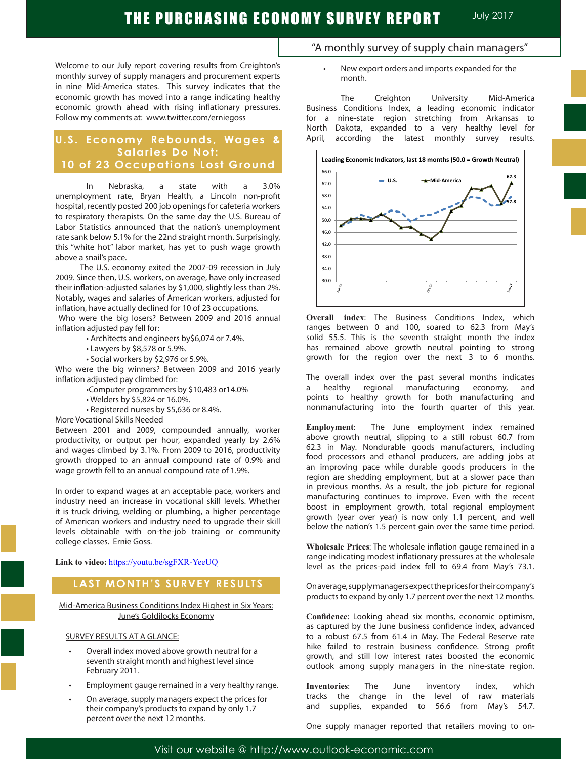Welcome to our July report covering results from Creighton's monthly survey of supply managers and procurement experts in nine Mid-America states. This survey indicates that the economic growth has moved into a range indicating healthy economic growth ahead with rising inflationary pressures. Follow my comments at: www.twitter.com/erniegoss

# **U.S. Economy Rebounds, Wages & Salaries Do Not: 10 of 23 Occupations Lost Ground**

In Nebraska, a state with a 3.0% unemployment rate, Bryan Health, a Lincoln non-profit hospital, recently posted 200 job openings for cafeteria workers to respiratory therapists. On the same day the U.S. Bureau of Labor Statistics announced that the nation's unemployment rate sank below 5.1% for the 22nd straight month. Surprisingly, this "white hot" labor market, has yet to push wage growth above a snail's pace.

 The U.S. economy exited the 2007-09 recession in July 2009. Since then, U.S. workers, on average, have only increased their inflation-adjusted salaries by \$1,000, slightly less than 2%. Notably, wages and salaries of American workers, adjusted for inflation, have actually declined for 10 of 23 occupations.

 Who were the big losers? Between 2009 and 2016 annual inflation adjusted pay fell for:

- Architects and engineers by\$6,074 or 7.4%.
- Lawyers by \$8,578 or 5.9%.
- Social workers by \$2,976 or 5.9%.

Who were the big winners? Between 2009 and 2016 yearly inflation adjusted pay climbed for:

- •Computer programmers by \$10,483 or14.0%
- Welders by \$5,824 or 16.0%.
- Registered nurses by \$5,636 or 8.4%.

More Vocational Skills Needed

Between 2001 and 2009, compounded annually, worker productivity, or output per hour, expanded yearly by 2.6% and wages climbed by 3.1%. From 2009 to 2016, productivity growth dropped to an annual compound rate of 0.9% and wage growth fell to an annual compound rate of 1.9%.

In order to expand wages at an acceptable pace, workers and industry need an increase in vocational skill levels. Whether it is truck driving, welding or plumbing, a higher percentage of American workers and industry need to upgrade their skill levels obtainable with on-the-job training or community college classes. Ernie Goss.

**Link to video:** https://youtu.be/sgFXR-YeeUQ

# **LAST MONTH'S SURVEY RESULTS**

Mid-America Business Conditions Index Highest in Six Years: June's Goldilocks Economy

## SURVEY RESULTS AT A GLANCE:

- Overall index moved above growth neutral for a seventh straight month and highest level since February 2011.
- Employment gauge remained in a very healthy range.
- On average, supply managers expect the prices for their company's products to expand by only 1.7 percent over the next 12 months.
- "A monthly survey of supply chain managers" New export orders and imports expanded for the
	- month.

The Creighton University Mid-America Business Conditions Index, a leading economic indicator for a nine-state region stretching from Arkansas to North Dakota, expanded to a very healthy level for April, according the latest monthly survey results.



**Overall index**: The Business Conditions Index, which ranges between 0 and 100, soared to 62.3 from May's solid 55.5. This is the seventh straight month the index has remained above growth neutral pointing to strong growth for the region over the next 3 to 6 months.

The overall index over the past several months indicates a healthy regional manufacturing economy, and points to healthy growth for both manufacturing and nonmanufacturing into the fourth quarter of this year.

**Employment**: The June employment index remained above growth neutral, slipping to a still robust 60.7 from 62.3 in May. Nondurable goods manufacturers, including food processors and ethanol producers, are adding jobs at an improving pace while durable goods producers in the region are shedding employment, but at a slower pace than in previous months. As a result, the job picture for regional manufacturing continues to improve. Even with the recent boost in employment growth, total regional employment growth (year over year) is now only 1.1 percent, and well below the nation's 1.5 percent gain over the same time period.

**Wholesale Prices**: The wholesale inflation gauge remained in a range indicating modest inflationary pressures at the wholesale level as the prices-paid index fell to 69.4 from May's 73.1.

On average, supply managers expect the prices for their company's products to expand by only 1.7 percent over the next 12 months.

**Confidence**: Looking ahead six months, economic optimism, as captured by the June business confidence index, advanced to a robust 67.5 from 61.4 in May. The Federal Reserve rate hike failed to restrain business confidence. Strong profit growth, and still low interest rates boosted the economic outlook among supply managers in the nine-state region.

**Inventories**: The June inventory index, which tracks the change in the level of raw materials and supplies, expanded to 56.6 from May's 54.7.

One supply manager reported that retailers moving to on-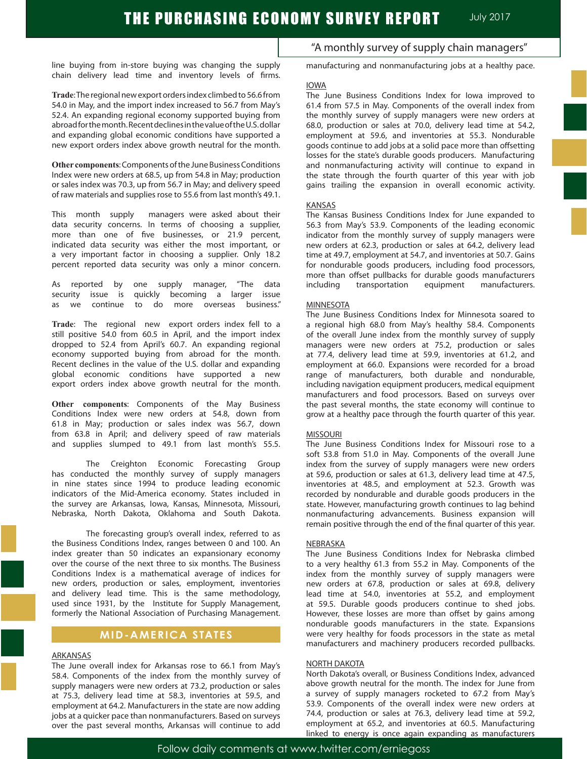line buying from in-store buying was changing the supply chain delivery lead time and inventory levels of firms.

**Trade**: The regional new export orders index climbed to 56.6 from 54.0 in May, and the import index increased to 56.7 from May's 52.4. An expanding regional economy supported buying from abroadforthemonth.RecentdeclinesinthevalueoftheU.S.dollar and expanding global economic conditions have supported a new export orders index above growth neutral for the month.

**Other components**: Components of the June Business Conditions Index were new orders at 68.5, up from 54.8 in May; production or sales index was 70.3, up from 56.7 in May; and delivery speed of raw materials and supplies rose to 55.6 from last month's 49.1.

This month supply managers were asked about their data security concerns. In terms of choosing a supplier, more than one of five businesses, or 21.9 percent, indicated data security was either the most important, or a very important factor in choosing a supplier. Only 18.2 percent reported data security was only a minor concern.

As reported by one supply manager, "The data security issue is quickly becoming a larger issue as we continue to do more overseas business."

**Trade**: The regional new export orders index fell to a still positive 54.0 from 60.5 in April, and the import index dropped to 52.4 from April's 60.7. An expanding regional economy supported buying from abroad for the month. Recent declines in the value of the U.S. dollar and expanding global economic conditions have supported a new export orders index above growth neutral for the month.

**Other components**: Components of the May Business Conditions Index were new orders at 54.8, down from 61.8 in May; production or sales index was 56.7, down from 63.8 in April; and delivery speed of raw materials and supplies slumped to 49.1 from last month's 55.5.

The Creighton Economic Forecasting Group has conducted the monthly survey of supply managers in nine states since 1994 to produce leading economic indicators of the Mid-America economy. States included in the survey are Arkansas, Iowa, Kansas, Minnesota, Missouri, Nebraska, North Dakota, Oklahoma and South Dakota.

The forecasting group's overall index, referred to as the Business Conditions Index, ranges between 0 and 100. An index greater than 50 indicates an expansionary economy over the course of the next three to six months. The Business Conditions Index is a mathematical average of indices for new orders, production or sales, employment, inventories and delivery lead time. This is the same methodology, used since 1931, by the Institute for Supply Management, formerly the National Association of Purchasing Management.

## **MID-AMERICA STATES**

### ARKANSAS

The June overall index for Arkansas rose to 66.1 from May's 58.4. Components of the index from the monthly survey of supply managers were new orders at 73.2, production or sales at 75.3, delivery lead time at 58.3, inventories at 59.5, and employment at 64.2. Manufacturers in the state are now adding jobs at a quicker pace than nonmanufacturers. Based on surveys over the past several months, Arkansas will continue to add

"A monthly survey of supply chain managers"

manufacturing and nonmanufacturing jobs at a healthy pace.

### IOWA

The June Business Conditions Index for Iowa improved to 61.4 from 57.5 in May. Components of the overall index from the monthly survey of supply managers were new orders at 68.0, production or sales at 70.0, delivery lead time at 54.2, employment at 59.6, and inventories at 55.3. Nondurable goods continue to add jobs at a solid pace more than offsetting losses for the state's durable goods producers. Manufacturing and nonmanufacturing activity will continue to expand in the state through the fourth quarter of this year with job gains trailing the expansion in overall economic activity.

#### KANSAS

The Kansas Business Conditions Index for June expanded to 56.3 from May's 53.9. Components of the leading economic indicator from the monthly survey of supply managers were new orders at 62.3, production or sales at 64.2, delivery lead time at 49.7, employment at 54.7, and inventories at 50.7. Gains for nondurable goods producers, including food processors, more than offset pullbacks for durable goods manufacturers<br>including transportation equipment manufacturers. transportation equipment manufacturers.

### MINNESOTA

The June Business Conditions Index for Minnesota soared to a regional high 68.0 from May's healthy 58.4. Components of the overall June index from the monthly survey of supply managers were new orders at 75.2, production or sales at 77.4, delivery lead time at 59.9, inventories at 61.2, and employment at 66.0. Expansions were recorded for a broad range of manufacturers, both durable and nondurable, including navigation equipment producers, medical equipment manufacturers and food processors. Based on surveys over the past several months, the state economy will continue to grow at a healthy pace through the fourth quarter of this year.

#### MISSOURI

The June Business Conditions Index for Missouri rose to a soft 53.8 from 51.0 in May. Components of the overall June index from the survey of supply managers were new orders at 59.6, production or sales at 61.3, delivery lead time at 47.5, inventories at 48.5, and employment at 52.3. Growth was recorded by nondurable and durable goods producers in the state. However, manufacturing growth continues to lag behind nonmanufacturing advancements. Business expansion will remain positive through the end of the final quarter of this year.

#### NEBRASKA

The June Business Conditions Index for Nebraska climbed to a very healthy 61.3 from 55.2 in May. Components of the index from the monthly survey of supply managers were new orders at 67.8, production or sales at 69.8, delivery lead time at 54.0, inventories at 55.2, and employment at 59.5. Durable goods producers continue to shed jobs. However, these losses are more than offset by gains among nondurable goods manufacturers in the state. Expansions were very healthy for foods processors in the state as metal manufacturers and machinery producers recorded pullbacks.

### NORTH DAKOTA

North Dakota's overall, or Business Conditions Index, advanced above growth neutral for the month. The index for June from a survey of supply managers rocketed to 67.2 from May's 53.9. Components of the overall index were new orders at 74.4, production or sales at 76.3, delivery lead time at 59.2, employment at 65.2, and inventories at 60.5. Manufacturing linked to energy is once again expanding as manufacturers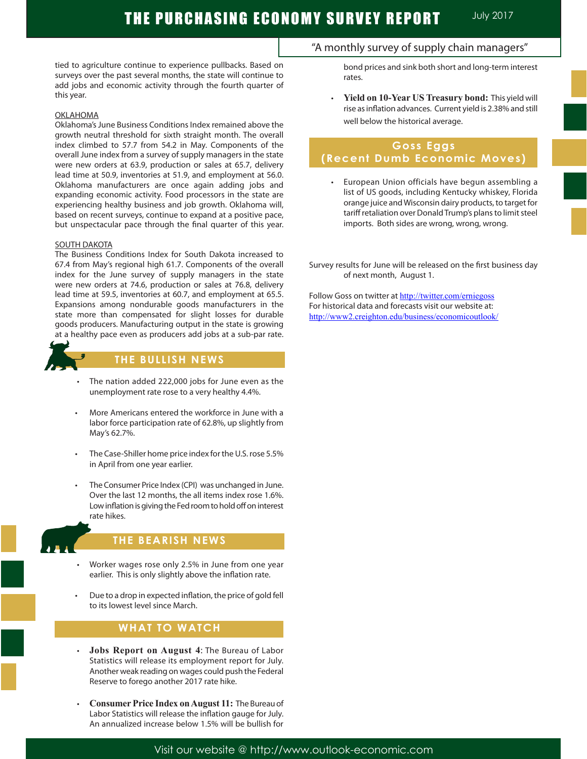tied to agriculture continue to experience pullbacks. Based on surveys over the past several months, the state will continue to add jobs and economic activity through the fourth quarter of this year.

## OKLAHOMA

Oklahoma's June Business Conditions Index remained above the growth neutral threshold for sixth straight month. The overall index climbed to 57.7 from 54.2 in May. Components of the overall June index from a survey of supply managers in the state were new orders at 63.9, production or sales at 65.7, delivery lead time at 50.9, inventories at 51.9, and employment at 56.0. Oklahoma manufacturers are once again adding jobs and expanding economic activity. Food processors in the state are experiencing healthy business and job growth. Oklahoma will, based on recent surveys, continue to expand at a positive pace, but unspectacular pace through the final quarter of this year.

### SOUTH DAKOTA

The Business Conditions Index for South Dakota increased to 67.4 from May's regional high 61.7. Components of the overall index for the June survey of supply managers in the state were new orders at 74.6, production or sales at 76.8, delivery lead time at 59.5, inventories at 60.7, and employment at 65.5. Expansions among nondurable goods manufacturers in the state more than compensated for slight losses for durable goods producers. Manufacturing output in the state is growing at a healthy pace even as producers add jobs at a sub-par rate.



# **THE BULLISH NEWS**

- The nation added 222,000 jobs for June even as the unemployment rate rose to a very healthy 4.4%.
- More Americans entered the workforce in June with a labor force participation rate of 62.8%, up slightly from May's 62.7%.
- The Case-Shiller home price index for the U.S. rose 5.5% in April from one year earlier.
- The Consumer Price Index (CPI) was unchanged in June. Over the last 12 months, the all items index rose 1.6%. Low inflation is giving the Fed room to hold off on interest rate hikes.



I

## **THE BEARISH NEWS**

- Worker wages rose only 2.5% in June from one year earlier. This is only slightly above the inflation rate.
- Due to a drop in expected inflation, the price of gold fell to its lowest level since March.

# **WHAT TO WATCH**

- • **Jobs Report on August 4**: The Bureau of Labor Statistics will release its employment report for July. Another weak reading on wages could push the Federal Reserve to forego another 2017 rate hike.
- **Consumer Price Index on August 11: The Bureau of** Labor Statistics will release the inflation gauge for July. An annualized increase below 1.5% will be bullish for

## "A monthly survey of supply chain managers"

bond prices and sink both short and long-term interest rates.

 • **Yield on 10-Year US Treasury bond:** This yield will rise as inflation advances. Current yield is 2.38% and still well below the historical average.

# **Goss Eggs (Recent Dumb Economic Moves)**

European Union officials have begun assembling a list of US goods, including Kentucky whiskey, Florida orange juice and Wisconsin dairy products, to target for tariff retaliation over Donald Trump's plans to limit steel imports. Both sides are wrong, wrong, wrong.

Survey results for June will be released on the first business day of next month, August 1.

Follow Goss on twitter at http://twitter.com/erniegoss For historical data and forecasts visit our website at: http://www2.creighton.edu/business/economicoutlook/